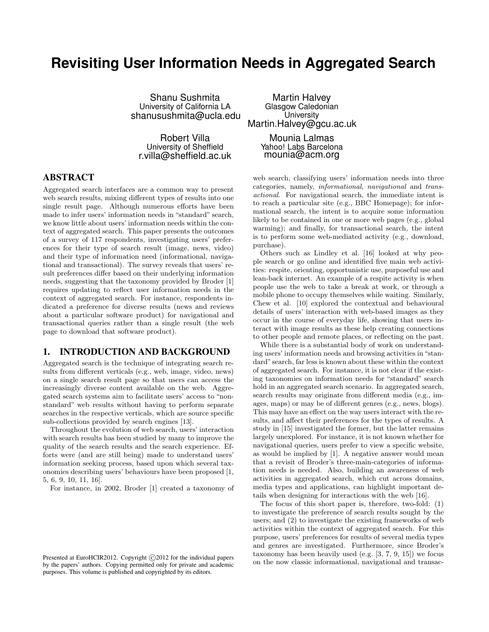# **Revisiting User Information Needs in Aggregated Search**

Shanu Sushmita University of California LA shanusushmita@ucla.edu

Robert Villa University of Sheffield r.villa@sheffield.ac.uk

### ABSTRACT

Aggregated search interfaces are a common way to present web search results, mixing different types of results into one single result page. Although numerous efforts have been made to infer users' information needs in "standard" search, we know little about users' information needs within the context of aggregated search. This paper presents the outcomes of a survey of 117 respondents, investigating users' preferences for their type of search result (image, news, video) and their type of information need (informational, navigational and transactional). The survey reveals that users' result preferences differ based on their underlying information needs, suggesting that the taxonomy provided by Broder [1] requires updating to reflect user information needs in the context of aggregated search. For instance, respondents indicated a preference for diverse results (news and reviews about a particular software product) for navigational and transactional queries rather than a single result (the web page to download that software product).

### 1. INTRODUCTION AND BACKGROUND

Aggregated search is the technique of integrating search results from different verticals (e.g., web, image, video, news) on a single search result page so that users can access the increasingly diverse content available on the web. Aggregated search systems aim to facilitate users' access to "nonstandard" web results without having to perform separate searches in the respective verticals, which are source specific sub-collections provided by search engines [13].

Throughout the evolution of web search, users' interaction with search results has been studied by many to improve the quality of the search results and the search experience. Efforts were (and are still being) made to understand users' information seeking process, based upon which several taxonomies describing users' behaviours have been proposed [1, 5, 6, 9, 10, 11, 16].

For instance, in 2002, Broder [1] created a taxonomy of

Presented at EuroHCIR2012. Copyright C 2012 for the individual papers by the papers' authors. Copying permitted only for private and academic purposes. This volume is published and copyrighted by its editors.

Martin Halvey Glasgow Caledonian University Martin.Halvey@gcu.ac.uk

> Mounia Lalmas Yahoo! Labs Barcelona mounia@acm.org

web search, classifying users' information needs into three categories, namely, informational, navigational and transactional. For navigational search, the immediate intent is to reach a particular site (e.g., BBC Homepage); for informational search, the intent is to acquire some information likely to be contained in one or more web pages (e.g., global warming); and finally, for transactional search, the intent is to perform some web-mediated activity (e.g., download, purchase).

Others such as Lindley et al. [16] looked at why people search or go online and identified five main web activities: respite, orienting, opportunistic use, purposeful use and lean-back internet. An example of a respite activity is when people use the web to take a break at work, or through a mobile phone to occupy themselves while waiting. Similarly, Chew et al. [10] explored the contextual and behavioural details of users' interaction with web-based images as they occur in the course of everyday life, showing that users interact with image results as these help creating connections to other people and remote places, or reflecting on the past.

While there is a substantial body of work on understanding users' information needs and browsing activities in "standard" search, far less is known about these within the context of aggregated search. For instance, it is not clear if the existing taxonomies on information needs for "standard" search hold in an aggregated search scenario. In aggregated search, search results may originate from different media (e.g., images, maps) or may be of different genres (e.g., news, blogs). This may have an effect on the way users interact with the results, and affect their preferences for the types of results. A study in [15] investigated the former, but the latter remains largely unexplored. For instance, it is not known whether for navigational queries, users prefer to view a specific website, as would be implied by [1]. A negative answer would mean that a revisit of Broder's three-main-categories of information needs is needed. Also, building an awareness of web activities in aggregated search, which cut across domains, media types and applications, can highlight important details when designing for interactions with the web [16].

The focus of this short paper is, therefore, two-fold: (1) to investigate the preference of search results sought by the users; and (2) to investigate the existing frameworks of web activities within the context of aggregated search. For this purpose, users' preferences for results of several media types and genres are investigated. Furthermore, since Broder's taxonomy has been heavily used (e.g. [3, 7, 9, 15]) we focus on the now classic informational, navigational and transac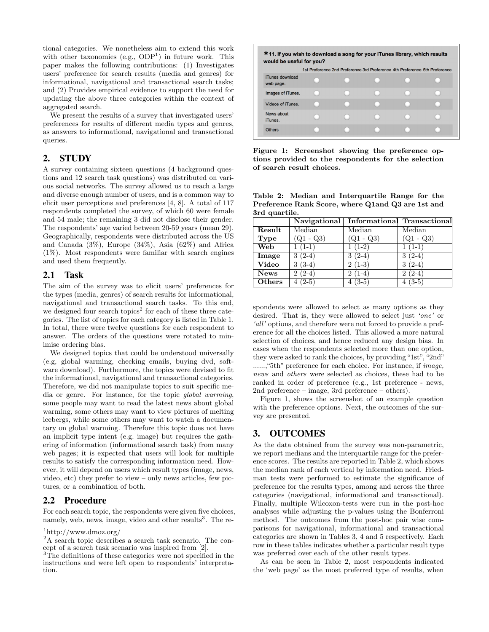tional categories. We nonetheless aim to extend this work with other taxonomies  $(e.g., ODP<sup>1</sup>)$  in future work. This paper makes the following contributions: (1) Investigates users' preference for search results (media and genres) for informational, navigational and transactional search tasks; and (2) Provides empirical evidence to support the need for updating the above three categories within the context of aggregated search.

We present the results of a survey that investigated users' preferences for results of different media types and genres, as answers to informational, navigational and transactional queries.

# 2. STUDY

A survey containing sixteen questions (4 background questions and 12 search task questions) was distributed on various social networks. The survey allowed us to reach a large and diverse enough number of users, and is a common way to elicit user perceptions and preferences [4, 8]. A total of 117 respondents completed the survey, of which 60 were female and 54 male; the remaining 3 did not disclose their gender. The respondents' age varied between 20-59 years (mean 29). Geographically, respondents were distributed across the US and Canada (3%), Europe (34%), Asia (62%) and Africa (1%). Most respondents were familiar with search engines and used them frequently.

### 2.1 Task

The aim of the survey was to elicit users' preferences for the types (media, genres) of search results for informational, navigational and transactional search tasks. To this end, we designed four search topics<sup>2</sup> for each of these three categories. The list of topics for each category is listed in Table 1. In total, there were twelve questions for each respondent to answer. The orders of the questions were rotated to minimise ordering bias.

We designed topics that could be understood universally (e.g, global warming, checking emails, buying dvd, software download). Furthermore, the topics were devised to fit the informational, navigational and transactional categories. Therefore, we did not manipulate topics to suit specific media or genre. For instance, for the topic global warming, some people may want to read the latest news about global warming, some others may want to view pictures of melting icebergs, while some others may want to watch a documentary on global warming. Therefore this topic does not have an implicit type intent (e.g. image) but requires the gathering of information (informational search task) from many web pages; it is expected that users will look for multiple results to satisfy the corresponding information need. However, it will depend on users which result types (image, news, video, etc) they prefer to view – only news articles, few pictures, or a combination of both.

### 2.2 Procedure

For each search topic, the respondents were given five choices, namely, web, news, image, video and other results<sup>3</sup>. The re-



Figure 1: Screenshot showing the preference options provided to the respondents for the selection of search result choices.

Table 2: Median and Interquartile Range for the Preference Rank Score, where Q1and Q3 are 1st and 3rd quartile.

|               | Navigational      |             | Informational Transactional |
|---------------|-------------------|-------------|-----------------------------|
| Result        | Median            | Median      | Median                      |
| Type          | $(Q1 - Q3)$       | $(Q1 - Q3)$ | $(Q1 - Q3)$                 |
| Web           | $1(1-1)$          | $1(1-2)$    | $1(1-1)$                    |
| Image         | $3(2-4)$          | $3(2-4)$    | $(2-4)$<br>3                |
| Video         | $3(3-4)$          | $2(1-3)$    | $(2-4)$<br>3.               |
| <b>News</b>   | $(2-4)$<br>$^{2}$ | $2(1-4)$    | $2(2-4)$                    |
| <b>Others</b> | $(2-5)$           | $4(3-5)$    | $(3-5)$<br>4                |

spondents were allowed to select as many options as they desired. That is, they were allowed to select just 'one' or 'all' options, and therefore were not forced to provide a preference for all the choices listed. This allowed a more natural selection of choices, and hence reduced any design bias. In cases when the respondents selected more than one option, they were asked to rank the choices, by providing "1st", "2nd" ......,"5th" preference for each choice. For instance, if image, news and *others* were selected as choices, these had to be ranked in order of preference (e.g., 1st preference - news, 2nd preference – image, 3rd preference – others).

Figure 1, shows the screenshot of an example question with the preference options. Next, the outcomes of the survey are presented.

### 3. OUTCOMES

As the data obtained from the survey was non-parametric, we report medians and the interquartile range for the preference scores. The results are reported in Table 2, which shows the median rank of each vertical by information need. Friedman tests were performed to estimate the significance of preference for the results types, among and across the three categories (navigational, informational and transactional). Finally, multiple Wilcoxon-tests were run in the post-hoc analyses while adjusting the p-values using the Bonferroni method. The outcomes from the post-hoc pair wise comparisons for navigational, informational and transactional categories are shown in Tables 3, 4 and 5 respectively. Each row in these tables indicates whether a particular result type was preferred over each of the other result types.

As can be seen in Table 2, most respondents indicated the 'web page' as the most preferred type of results, when

<sup>1</sup>http://www.dmoz.org/

<sup>2</sup>A search topic describes a search task scenario. The concept of a search task scenario was inspired from [2].

<sup>3</sup>The definitions of these categories were not specified in the instructions and were left open to respondents' interpretation.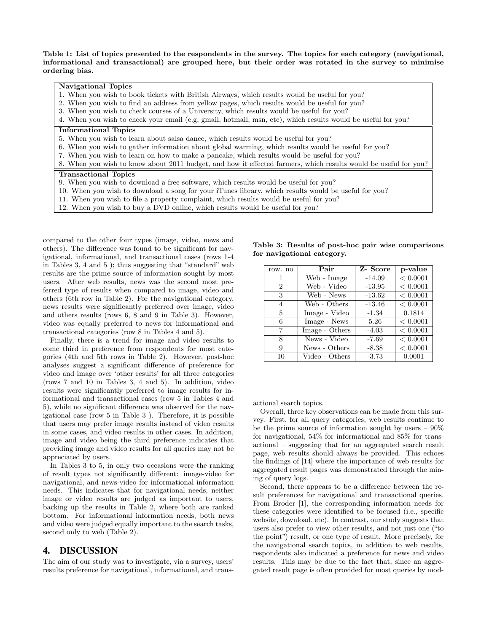Table 1: List of topics presented to the respondents in the survey. The topics for each category (navigational, informational and transactional) are grouped here, but their order was rotated in the survey to minimise ordering bias.

#### Navigational Topics

- 1. When you wish to book tickets with British Airways, which results would be useful for you?
- 2. When you wish to find an address from yellow pages, which results would be useful for you?
- 3. When you wish to check courses of a University, which results would be useful for you?

4. When you wish to check your email (e.g, gmail, hotmail, msn, etc), which results would be useful for you?

#### Informational Topics

- 5. When you wish to learn about salsa dance, which results would be useful for you?
- 6. When you wish to gather information about global warming, which results would be useful for you?
- 7. When you wish to learn on how to make a pancake, which results would be useful for you?
- 8. When you wish to know about 2011 budget, and how it effected farmers, which results would be useful for you?

#### Transactional Topics

- 9. When you wish to download a free software, which results would be useful for you?
- 10. When you wish to download a song for your iTunes library, which results would be useful for you?
- 11. When you wish to file a property complaint, which results would be useful for you?
- 12. When you wish to buy a DVD online, which results would be useful for you?

compared to the other four types (image, video, news and others). The difference was found to be significant for navigational, informational, and transactional cases (rows 1-4 in Tables 3, 4 and 5 ); thus suggesting that "standard" web results are the prime source of information sought by most users. After web results, news was the second most preferred type of results when compared to image, video and others (6th row in Table 2). For the navigational category, news results were significantly preferred over image, video and others results (rows 6, 8 and 9 in Table 3). However, video was equally preferred to news for informational and transactional categories (row 8 in Tables 4 and 5).

Finally, there is a trend for image and video results to come third in preference from respondents for most categories (4th and 5th rows in Table 2). However, post-hoc analyses suggest a significant difference of preference for video and image over 'other results' for all three categories (rows 7 and 10 in Tables 3, 4 and 5). In addition, video results were significantly preferred to image results for informational and transactional cases (row 5 in Tables 4 and 5), while no significant difference was observed for the navigational case (row 5 in Table 3 ). Therefore, it is possible that users may prefer image results instead of video results in some cases, and video results in other cases. In addition, image and video being the third preference indicates that providing image and video results for all queries may not be appreciated by users.

In Tables 3 to 5, in only two occasions were the ranking of result types not significantly different: image-video for navigational, and news-video for informational information needs. This indicates that for navigational needs, neither image or video results are judged as important to users, backing up the results in Table 2, where both are ranked bottom. For informational information needs, both news and video were judged equally important to the search tasks, second only to web (Table 2).

### 4. DISCUSSION

The aim of our study was to investigate, via a survey, users' results preference for navigational, informational, and trans-

| row. no        | Pair           | Z-Score  | p-value      |
|----------------|----------------|----------|--------------|
|                | Web - Image    | $-14.09$ | < 0.0001     |
| $\overline{2}$ | Web - Video    | $-13.95$ | ${}< 0.0001$ |
| 3              | Web - News     | $-13.62$ | < 0.0001     |
| 4              | Web - Others   | $-13.46$ | < 0.0001     |
| 5              | Image - Video  | $-1.34$  | 0.1814       |
| 6              | Image - News   | 5.26     | < 0.0001     |
| 7              | Image - Others | $-4.03$  | < 0.0001     |
| 8              | News - Video   | $-7.69$  | < 0.0001     |
| 9              | News - Others  | $-8.38$  | < 0.0001     |
| 10             | Video - Others | $-3.73$  | 0.0001       |

Table 3: Results of post-hoc pair wise comparisons for navigational category.

actional search topics.

Overall, three key observations can be made from this survey. First, for all query categories, web results continue to be the prime source of information sought by users  $-90\%$ for navigational, 54% for informational and 85% for transactional – suggesting that for an aggregated search result page, web results should always be provided. This echoes the findings of [14] where the importance of web results for aggregated result pages was demonstrated through the mining of query logs.

Second, there appears to be a difference between the result preferences for navigational and transactional queries. From Broder [1], the corresponding information needs for these categories were identified to be focused (i.e., specific website, download, etc). In contrast, our study suggests that users also prefer to view other results, and not just one ("to the point") result, or one type of result. More precisely, for the navigational search topics, in addition to web results, respondents also indicated a preference for news and video results. This may be due to the fact that, since an aggregated result page is often provided for most queries by mod-